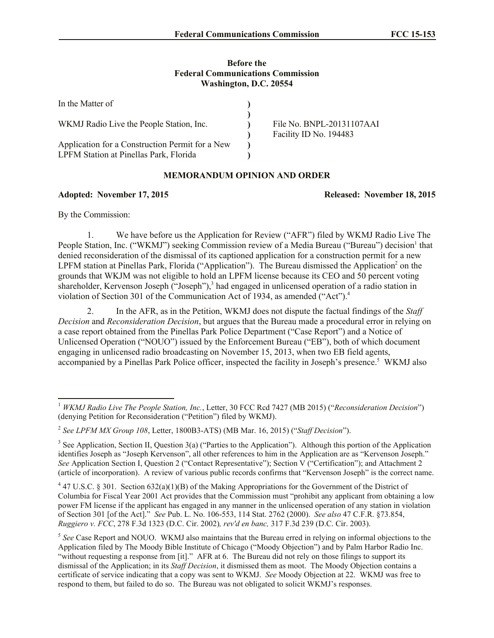## **Before the Federal Communications Commission Washington, D.C. 20554**

| In the Matter of                                                                          |                                                     |
|-------------------------------------------------------------------------------------------|-----------------------------------------------------|
| WKMJ Radio Live the People Station, Inc.                                                  | File No. BNPL-20131107AAI<br>Facility ID No. 194483 |
| Application for a Construction Permit for a New<br>LPFM Station at Pinellas Park, Florida |                                                     |

## **MEMORANDUM OPINION AND ORDER**

## **Adopted: November 17, 2015 Released: November 18, 2015**

By the Commission:

l

1. We have before us the Application for Review ("AFR") filed by WKMJ Radio Live The People Station, Inc. ("WKMJ") seeking Commission review of a Media Bureau ("Bureau") decision<sup>1</sup> that denied reconsideration of the dismissal of its captioned application for a construction permit for a new LPFM station at Pinellas Park, Florida ("Application"). The Bureau dismissed the Application<sup>2</sup> on the grounds that WKJM was not eligible to hold an LPFM license because its CEO and 50 percent voting shareholder, Kervenson Joseph ("Joseph"),<sup>3</sup> had engaged in unlicensed operation of a radio station in violation of Section 301 of the Communication Act of 1934, as amended ("Act"). 4

2. In the AFR, as in the Petition, WKMJ does not dispute the factual findings of the *Staff Decision* and *Reconsideration Decision*, but argues that the Bureau made a procedural error in relying on a case report obtained from the Pinellas Park Police Department ("Case Report") and a Notice of Unlicensed Operation ("NOUO") issued by the Enforcement Bureau ("EB"), both of which document engaging in unlicensed radio broadcasting on November 15, 2013, when two EB field agents, accompanied by a Pinellas Park Police officer, inspected the facility in Joseph's presence.<sup>5</sup> WKMJ also

<sup>1</sup> *WKMJ Radio Live The People Station, Inc.*, Letter, 30 FCC Rcd 7427 (MB 2015) ("*Reconsideration Decision*") (denying Petition for Reconsideration ("Petition") filed by WKMJ).

<sup>2</sup> *See LPFM MX Group 108*, Letter, 1800B3-ATS) (MB Mar. 16, 2015) ("*Staff Decision*").

<sup>&</sup>lt;sup>3</sup> See Application, Section II, Question 3(a) ("Parties to the Application"). Although this portion of the Application identifies Joseph as "Joseph Kervenson", all other references to him in the Application are as "Kervenson Joseph." *See* Application Section I, Question 2 ("Contact Representative"); Section V ("Certification"); and Attachment 2 (article of incorporation). A review of various public records confirms that "Kervenson Joseph" is the correct name.

 $4$  47 U.S.C. § 301. Section 632(a)(1)(B) of the Making Appropriations for the Government of the District of Columbia for Fiscal Year 2001 Act provides that the Commission must "prohibit any applicant from obtaining a low power FM license if the applicant has engaged in any manner in the unlicensed operation of any station in violation of Section 301 [of the Act]." *See* Pub. L. No. 106-553, 114 Stat. 2762 (2000). *See also* 47 C.F.R. §73.854, *Ruggiero v. FCC*, 278 F.3d 1323 (D.C. Cir. 2002)*, rev'd en banc,* 317 F.3d 239 (D.C. Cir. 2003).

<sup>&</sup>lt;sup>5</sup> See Case Report and NOUO. WKMJ also maintains that the Bureau erred in relying on informal objections to the Application filed by The Moody Bible Institute of Chicago ("Moody Objection") and by Palm Harbor Radio Inc. "without requesting a response from [it]." AFR at 6. The Bureau did not rely on those filings to support its dismissal of the Application; in its *Staff Decision*, it dismissed them as moot. The Moody Objection contains a certificate of service indicating that a copy was sent to WKMJ. *See* Moody Objection at 22. WKMJ was free to respond to them, but failed to do so. The Bureau was not obligated to solicit WKMJ's responses.